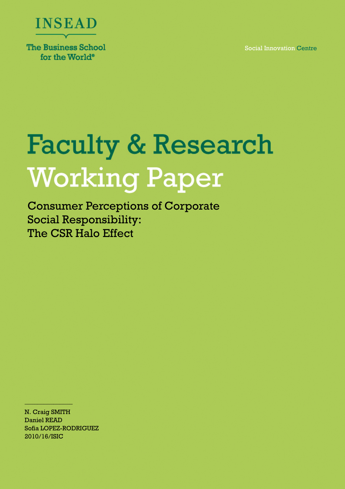Social Innovation Centre



for the World<sup>®</sup>

# **Faculty & Research Working Paper**

Consumer Perceptions of Corporate Social Responsibility: The CSR Halo Effect

N. Craig SMITH Daniel READ Sofia LOPEZ-RODRIGUEZ 2010/16/ISIC

\_\_\_\_\_\_\_\_\_\_\_\_\_\_\_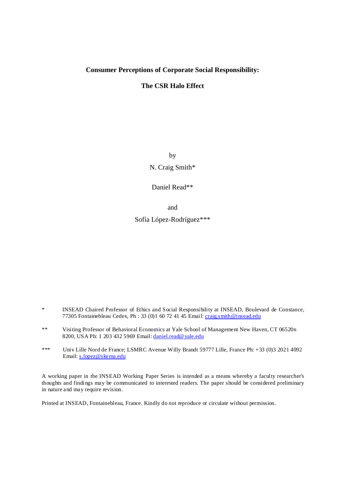# **Consumer Perceptions of Corporate Social Responsibility:**

# **The CSR Halo Effect**

by

N. Craig Smith\*

Daniel Read\*\*

and

Sofía López-Rodríguez\*\*\*

- \* INSEAD Chaired Professor of Ethics and Social Responsibility at INSEAD, Boulevard de Constance, 77305 Fontainebleau Cedex, Ph : 33 (0)1 60 72 41 45 Email: craig.smith@insead.edu
- \*\* Visiting Professor of Behavioral Economics at Yale School of Management New Haven, CT 06520n 8200, USA Ph: 1 203 432 5969 Email: daniel.read@yale.edu
- \*\*\* Univ Lille Nord de France; LSMRC Avenue Willy Brandt 59777 Lille, France Ph: +33 (0)3 2021 4092 Email: s.lopez@skema.edu

A working paper in the INSEAD Working Paper Series is intended as a means whereby a faculty researcher's thoughts and findings may be communicated to interested readers. The paper should be considered preliminary in nature and may require revision.

Printed at INSEAD, Fontainebleau, France. Kindly do not reproduce or circulate without permission.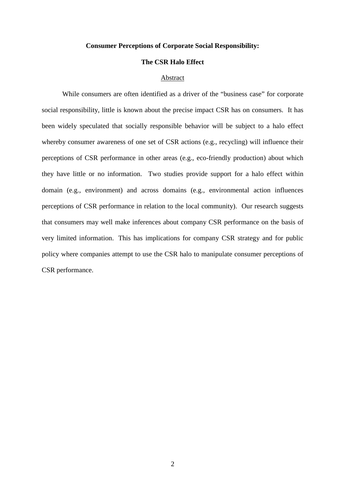### **Consumer Perceptions of Corporate Social Responsibility:**

## **The CSR Halo Effect**

### Abstract

While consumers are often identified as a driver of the "business case" for corporate social responsibility, little is known about the precise impact CSR has on consumers. It has been widely speculated that socially responsible behavior will be subject to a halo effect whereby consumer awareness of one set of CSR actions (e.g., recycling) will influence their perceptions of CSR performance in other areas (e.g., eco-friendly production) about which they have little or no information. Two studies provide support for a halo effect within domain (e.g., environment) and across domains (e.g., environmental action influences perceptions of CSR performance in relation to the local community). Our research suggests that consumers may well make inferences about company CSR performance on the basis of very limited information. This has implications for company CSR strategy and for public policy where companies attempt to use the CSR halo to manipulate consumer perceptions of CSR performance.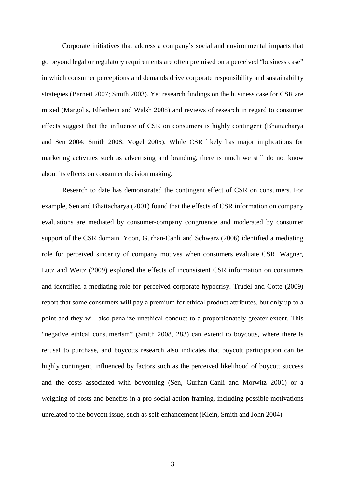Corporate initiatives that address a company's social and environmental impacts that go beyond legal or regulatory requirements are often premised on a perceived "business case" in which consumer perceptions and demands drive corporate responsibility and sustainability strategies (Barnett 2007; Smith 2003). Yet research findings on the business case for CSR are mixed (Margolis, Elfenbein and Walsh 2008) and reviews of research in regard to consumer effects suggest that the influence of CSR on consumers is highly contingent (Bhattacharya and Sen 2004; Smith 2008; Vogel 2005). While CSR likely has major implications for marketing activities such as advertising and branding, there is much we still do not know about its effects on consumer decision making.

Research to date has demonstrated the contingent effect of CSR on consumers. For example, Sen and Bhattacharya (2001) found that the effects of CSR information on company evaluations are mediated by consumer-company congruence and moderated by consumer support of the CSR domain. Yoon, Gurhan-Canli and Schwarz (2006) identified a mediating role for perceived sincerity of company motives when consumers evaluate CSR. Wagner, Lutz and Weitz (2009) explored the effects of inconsistent CSR information on consumers and identified a mediating role for perceived corporate hypocrisy. Trudel and Cotte (2009) report that some consumers will pay a premium for ethical product attributes, but only up to a point and they will also penalize unethical conduct to a proportionately greater extent. This "negative ethical consumerism" (Smith 2008, 283) can extend to boycotts, where there is refusal to purchase, and boycotts research also indicates that boycott participation can be highly contingent, influenced by factors such as the perceived likelihood of boycott success and the costs associated with boycotting (Sen, Gurhan-Canli and Morwitz 2001) or a weighing of costs and benefits in a pro-social action framing, including possible motivations unrelated to the boycott issue, such as self-enhancement (Klein, Smith and John 2004).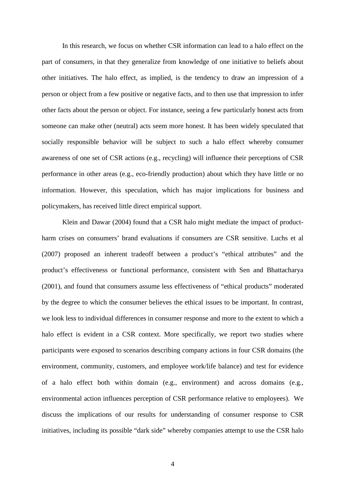In this research, we focus on whether CSR information can lead to a halo effect on the part of consumers, in that they generalize from knowledge of one initiative to beliefs about other initiatives. The halo effect, as implied, is the tendency to draw an impression of a person or object from a few positive or negative facts, and to then use that impression to infer other facts about the person or object. For instance, seeing a few particularly honest acts from someone can make other (neutral) acts seem more honest. It has been widely speculated that socially responsible behavior will be subject to such a halo effect whereby consumer awareness of one set of CSR actions (e.g., recycling) will influence their perceptions of CSR performance in other areas (e.g., eco-friendly production) about which they have little or no information. However, this speculation, which has major implications for business and policymakers, has received little direct empirical support.

Klein and Dawar (2004) found that a CSR halo might mediate the impact of productharm crises on consumers' brand evaluations if consumers are CSR sensitive. Luchs et al (2007) proposed an inherent tradeoff between a product's "ethical attributes" and the product's effectiveness or functional performance, consistent with Sen and Bhattacharya (2001), and found that consumers assume less effectiveness of "ethical products" moderated by the degree to which the consumer believes the ethical issues to be important. In contrast, we look less to individual differences in consumer response and more to the extent to which a halo effect is evident in a CSR context. More specifically, we report two studies where participants were exposed to scenarios describing company actions in four CSR domains (the environment, community, customers, and employee work/life balance) and test for evidence of a halo effect both within domain (e.g., environment) and across domains (e.g., environmental action influences perception of CSR performance relative to employees). We discuss the implications of our results for understanding of consumer response to CSR initiatives, including its possible "dark side" whereby companies attempt to use the CSR halo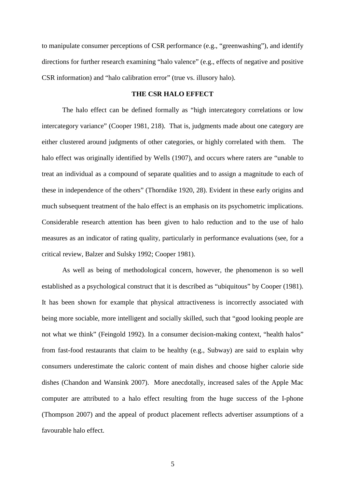to manipulate consumer perceptions of CSR performance (e.g., "greenwashing"), and identify directions for further research examining "halo valence" (e.g., effects of negative and positive CSR information) and "halo calibration error" (true vs. illusory halo).

# **THE CSR HALO EFFECT**

The halo effect can be defined formally as "high intercategory correlations or low intercategory variance" (Cooper 1981, 218). That is, judgments made about one category are either clustered around judgments of other categories, or highly correlated with them. The halo effect was originally identified by Wells (1907), and occurs where raters are "unable to treat an individual as a compound of separate qualities and to assign a magnitude to each of these in independence of the others" (Thorndike 1920, 28). Evident in these early origins and much subsequent treatment of the halo effect is an emphasis on its psychometric implications. Considerable research attention has been given to halo reduction and to the use of halo measures as an indicator of rating quality, particularly in performance evaluations (see, for a critical review, Balzer and Sulsky 1992; Cooper 1981).

As well as being of methodological concern, however, the phenomenon is so well established as a psychological construct that it is described as "ubiquitous" by Cooper (1981). It has been shown for example that physical attractiveness is incorrectly associated with being more sociable, more intelligent and socially skilled, such that "good looking people are not what we think" (Feingold 1992). In a consumer decision-making context, "health halos" from fast-food restaurants that claim to be healthy (e.g., Subway) are said to explain why consumers underestimate the caloric content of main dishes and choose higher calorie side dishes (Chandon and Wansink 2007). More anecdotally, increased sales of the Apple Mac computer are attributed to a halo effect resulting from the huge success of the I-phone (Thompson 2007) and the appeal of product placement reflects advertiser assumptions of a favourable halo effect.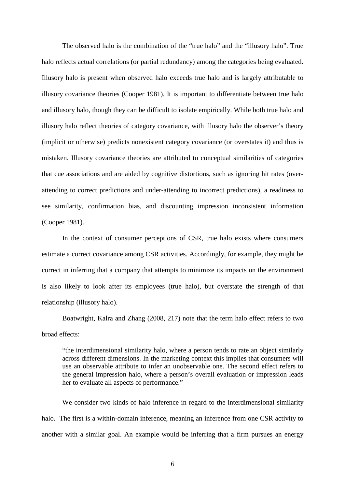The observed halo is the combination of the "true halo" and the "illusory halo". True halo reflects actual correlations (or partial redundancy) among the categories being evaluated. Illusory halo is present when observed halo exceeds true halo and is largely attributable to illusory covariance theories (Cooper 1981). It is important to differentiate between true halo and illusory halo, though they can be difficult to isolate empirically. While both true halo and illusory halo reflect theories of category covariance, with illusory halo the observer's theory (implicit or otherwise) predicts nonexistent category covariance (or overstates it) and thus is mistaken. Illusory covariance theories are attributed to conceptual similarities of categories that cue associations and are aided by cognitive distortions, such as ignoring hit rates (overattending to correct predictions and under-attending to incorrect predictions), a readiness to see similarity, confirmation bias, and discounting impression inconsistent information (Cooper 1981).

In the context of consumer perceptions of CSR, true halo exists where consumers estimate a correct covariance among CSR activities. Accordingly, for example, they might be correct in inferring that a company that attempts to minimize its impacts on the environment is also likely to look after its employees (true halo), but overstate the strength of that relationship (illusory halo).

Boatwright, Kalra and Zhang (2008, 217) note that the term halo effect refers to two broad effects:

"the interdimensional similarity halo, where a person tends to rate an object similarly across different dimensions. In the marketing context this implies that consumers will use an observable attribute to infer an unobservable one. The second effect refers to the general impression halo, where a person's overall evaluation or impression leads her to evaluate all aspects of performance."

We consider two kinds of halo inference in regard to the interdimensional similarity halo. The first is a within-domain inference, meaning an inference from one CSR activity to another with a similar goal. An example would be inferring that a firm pursues an energy

6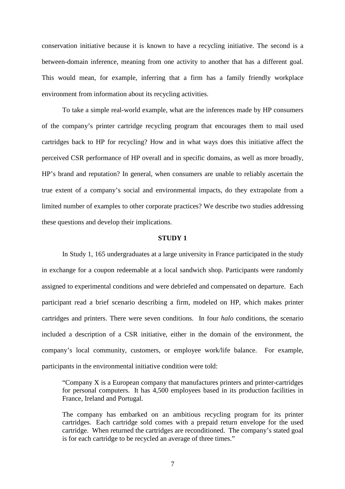conservation initiative because it is known to have a recycling initiative. The second is a between-domain inference, meaning from one activity to another that has a different goal. This would mean, for example, inferring that a firm has a family friendly workplace environment from information about its recycling activities.

To take a simple real-world example, what are the inferences made by HP consumers of the company's printer cartridge recycling program that encourages them to mail used cartridges back to HP for recycling? How and in what ways does this initiative affect the perceived CSR performance of HP overall and in specific domains, as well as more broadly, HP's brand and reputation? In general, when consumers are unable to reliably ascertain the true extent of a company's social and environmental impacts, do they extrapolate from a limited number of examples to other corporate practices? We describe two studies addressing these questions and develop their implications.

### **STUDY 1**

In Study 1, 165 undergraduates at a large university in France participated in the study in exchange for a coupon redeemable at a local sandwich shop. Participants were randomly assigned to experimental conditions and were debriefed and compensated on departure. Each participant read a brief scenario describing a firm, modeled on HP, which makes printer cartridges and printers. There were seven conditions. In four *halo* conditions, the scenario included a description of a CSR initiative, either in the domain of the environment, the company's local community, customers, or employee work/life balance. For example, participants in the environmental initiative condition were told:

"Company X is a European company that manufactures printers and printer-cartridges for personal computers. It has 4,500 employees based in its production facilities in France, Ireland and Portugal.

The company has embarked on an ambitious recycling program for its printer cartridges. Each cartridge sold comes with a prepaid return envelope for the used cartridge. When returned the cartridges are reconditioned. The company's stated goal is for each cartridge to be recycled an average of three times."

7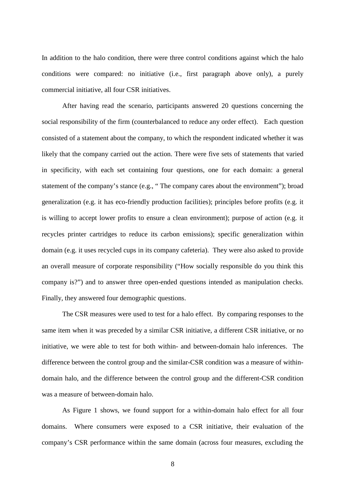In addition to the halo condition, there were three control conditions against which the halo conditions were compared: no initiative (i.e., first paragraph above only), a purely commercial initiative, all four CSR initiatives.

After having read the scenario, participants answered 20 questions concerning the social responsibility of the firm (counterbalanced to reduce any order effect). Each question consisted of a statement about the company, to which the respondent indicated whether it was likely that the company carried out the action. There were five sets of statements that varied in specificity, with each set containing four questions, one for each domain: a general statement of the company's stance (e.g., " The company cares about the environment"); broad generalization (e.g. it has eco-friendly production facilities); principles before profits (e.g. it is willing to accept lower profits to ensure a clean environment); purpose of action (e.g. it recycles printer cartridges to reduce its carbon emissions); specific generalization within domain (e.g. it uses recycled cups in its company cafeteria). They were also asked to provide an overall measure of corporate responsibility ("How socially responsible do you think this company is?") and to answer three open-ended questions intended as manipulation checks. Finally, they answered four demographic questions.

The CSR measures were used to test for a halo effect. By comparing responses to the same item when it was preceded by a similar CSR initiative, a different CSR initiative, or no initiative, we were able to test for both within- and between-domain halo inferences. The difference between the control group and the similar-CSR condition was a measure of withindomain halo, and the difference between the control group and the different-CSR condition was a measure of between-domain halo.

As Figure 1 shows, we found support for a within-domain halo effect for all four domains. Where consumers were exposed to a CSR initiative, their evaluation of the company's CSR performance within the same domain (across four measures, excluding the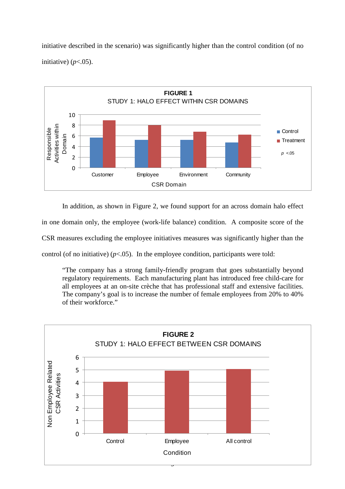initiative described in the scenario) was significantly higher than the control condition (of no initiative)  $(p<.05)$ .



In addition, as shown in Figure 2, we found support for an across domain halo effect

in one domain only, the employee (work-life balance) condition. A composite score of the

CSR measures excluding the employee initiatives measures was significantly higher than the

control (of no initiative)  $(p<.05)$ . In the employee condition, participants were told:

"The company has a strong family-friendly program that goes substantially beyond regulatory requirements. Each manufacturing plant has introduced free child-care for all employees at an on-site crèche that has professional staff and extensive facilities. The company's goal is to increase the number of female employees from 20% to 40% of their workforce."

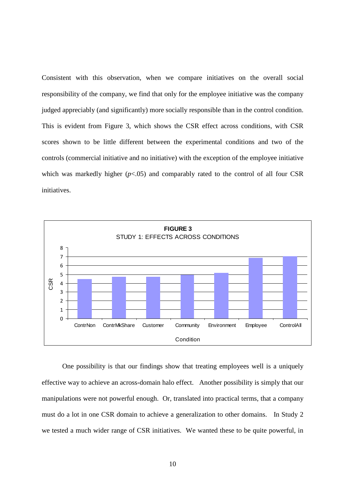Consistent with this observation, when we compare initiatives on the overall social responsibility of the company, we find that only for the employee initiative was the company judged appreciably (and significantly) more socially responsible than in the control condition. This is evident from Figure 3, which shows the CSR effect across conditions, with CSR scores shown to be little different between the experimental conditions and two of the controls (commercial initiative and no initiative) with the exception of the employee initiative which was markedly higher  $(p<0.05)$  and comparably rated to the control of all four CSR initiatives.



One possibility is that our findings show that treating employees well is a uniquely effective way to achieve an across-domain halo effect. Another possibility is simply that our manipulations were not powerful enough. Or, translated into practical terms, that a company must do a lot in one CSR domain to achieve a generalization to other domains. In Study 2 we tested a much wider range of CSR initiatives. We wanted these to be quite powerful, in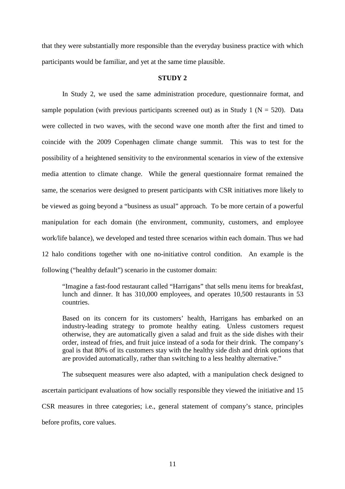that they were substantially more responsible than the everyday business practice with which participants would be familiar, and yet at the same time plausible.

### **STUDY 2**

In Study 2, we used the same administration procedure, questionnaire format, and sample population (with previous participants screened out) as in Study 1 ( $N = 520$ ). Data were collected in two waves, with the second wave one month after the first and timed to coincide with the 2009 Copenhagen climate change summit. This was to test for the possibility of a heightened sensitivity to the environmental scenarios in view of the extensive media attention to climate change. While the general questionnaire format remained the same, the scenarios were designed to present participants with CSR initiatives more likely to be viewed as going beyond a "business as usual" approach. To be more certain of a powerful manipulation for each domain (the environment, community, customers, and employee work/life balance), we developed and tested three scenarios within each domain. Thus we had 12 halo conditions together with one no-initiative control condition. An example is the following ("healthy default") scenario in the customer domain:

"Imagine a fast-food restaurant called "Harrigans" that sells menu items for breakfast, lunch and dinner. It has 310,000 employees, and operates 10,500 restaurants in 53 countries.

Based on its concern for its customers' health, Harrigans has embarked on an industry-leading strategy to promote healthy eating. Unless customers request otherwise, they are automatically given a salad and fruit as the side dishes with their order, instead of fries, and fruit juice instead of a soda for their drink. The company's goal is that 80% of its customers stay with the healthy side dish and drink options that are provided automatically, rather than switching to a less healthy alternative."

The subsequent measures were also adapted, with a manipulation check designed to ascertain participant evaluations of how socially responsible they viewed the initiative and 15 CSR measures in three categories; i.e., general statement of company's stance, principles before profits, core values.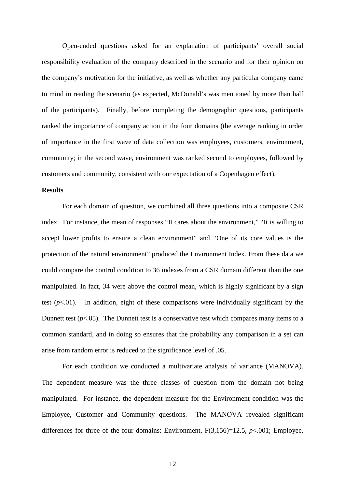Open-ended questions asked for an explanation of participants' overall social responsibility evaluation of the company described in the scenario and for their opinion on the company's motivation for the initiative, as well as whether any particular company came to mind in reading the scenario (as expected, McDonald's was mentioned by more than half of the participants). Finally, before completing the demographic questions, participants ranked the importance of company action in the four domains (the average ranking in order of importance in the first wave of data collection was employees, customers, environment, community; in the second wave, environment was ranked second to employees, followed by customers and community, consistent with our expectation of a Copenhagen effect).

# **Results**

 For each domain of question, we combined all three questions into a composite CSR index. For instance, the mean of responses "It cares about the environment," "It is willing to accept lower profits to ensure a clean environment" and "One of its core values is the protection of the natural environment" produced the Environment Index. From these data we could compare the control condition to 36 indexes from a CSR domain different than the one manipulated. In fact, 34 were above the control mean, which is highly significant by a sign test  $(p<.01)$ . In addition, eight of these comparisons were individually significant by the Dunnett test  $(p<.05)$ . The Dunnett test is a conservative test which compares many items to a common standard, and in doing so ensures that the probability any comparison in a set can arise from random error is reduced to the significance level of .05.

 For each condition we conducted a multivariate analysis of variance (MANOVA). The dependent measure was the three classes of question from the domain not being manipulated. For instance, the dependent measure for the Environment condition was the Employee, Customer and Community questions. The MANOVA revealed significant differences for three of the four domains: Environment, F(3,156)=12.5, *p*<.001; Employee,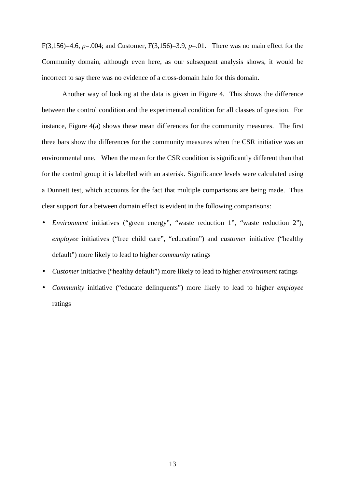F(3,156)=4.6, *p*=.004; and Customer, F(3,156)=3.9, *p*=.01. There was no main effect for the Community domain, although even here, as our subsequent analysis shows, it would be incorrect to say there was no evidence of a cross-domain halo for this domain.

 Another way of looking at the data is given in Figure 4. This shows the difference between the control condition and the experimental condition for all classes of question. For instance, Figure 4(a) shows these mean differences for the community measures. The first three bars show the differences for the community measures when the CSR initiative was an environmental one. When the mean for the CSR condition is significantly different than that for the control group it is labelled with an asterisk. Significance levels were calculated using a Dunnett test, which accounts for the fact that multiple comparisons are being made. Thus clear support for a between domain effect is evident in the following comparisons:

- *Environment* initiatives ("green energy", "waste reduction 1", "waste reduction 2"), *employee* initiatives ("free child care", "education") and *customer* initiative ("healthy default") more likely to lead to higher *community* ratings
- *Customer* initiative ("healthy default") more likely to lead to higher *environment* ratings
- *Community* initiative ("educate delinquents") more likely to lead to higher *employee* ratings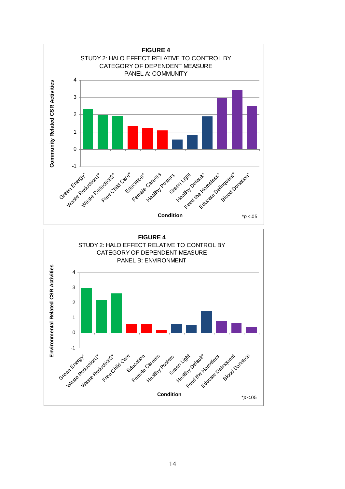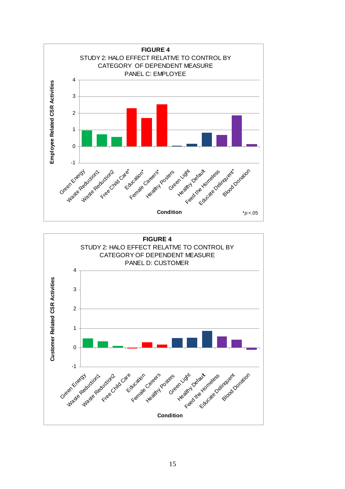

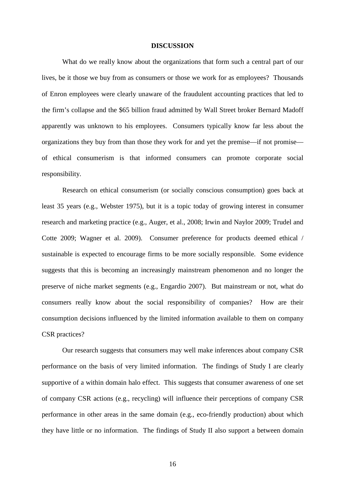### **DISCUSSION**

 What do we really know about the organizations that form such a central part of our lives, be it those we buy from as consumers or those we work for as employees? Thousands of Enron employees were clearly unaware of the fraudulent accounting practices that led to the firm's collapse and the \$65 billion fraud admitted by Wall Street broker Bernard Madoff apparently was unknown to his employees. Consumers typically know far less about the organizations they buy from than those they work for and yet the premise—if not promise of ethical consumerism is that informed consumers can promote corporate social responsibility.

Research on ethical consumerism (or socially conscious consumption) goes back at least 35 years (e.g., Webster 1975), but it is a topic today of growing interest in consumer research and marketing practice (e.g., Auger, et al., 2008; Irwin and Naylor 2009; Trudel and Cotte 2009; Wagner et al. 2009). Consumer preference for products deemed ethical / sustainable is expected to encourage firms to be more socially responsible. Some evidence suggests that this is becoming an increasingly mainstream phenomenon and no longer the preserve of niche market segments (e.g., Engardio 2007). But mainstream or not, what do consumers really know about the social responsibility of companies? How are their consumption decisions influenced by the limited information available to them on company CSR practices?

Our research suggests that consumers may well make inferences about company CSR performance on the basis of very limited information. The findings of Study I are clearly supportive of a within domain halo effect. This suggests that consumer awareness of one set of company CSR actions (e.g., recycling) will influence their perceptions of company CSR performance in other areas in the same domain (e.g., eco-friendly production) about which they have little or no information. The findings of Study II also support a between domain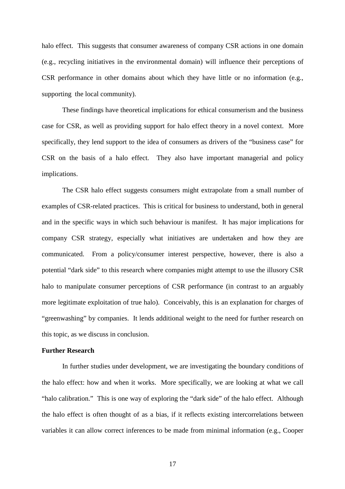halo effect. This suggests that consumer awareness of company CSR actions in one domain (e.g., recycling initiatives in the environmental domain) will influence their perceptions of CSR performance in other domains about which they have little or no information (e.g., supporting the local community).

 These findings have theoretical implications for ethical consumerism and the business case for CSR, as well as providing support for halo effect theory in a novel context. More specifically, they lend support to the idea of consumers as drivers of the "business case" for CSR on the basis of a halo effect. They also have important managerial and policy implications.

The CSR halo effect suggests consumers might extrapolate from a small number of examples of CSR-related practices. This is critical for business to understand, both in general and in the specific ways in which such behaviour is manifest. It has major implications for company CSR strategy, especially what initiatives are undertaken and how they are communicated. From a policy/consumer interest perspective, however, there is also a potential "dark side" to this research where companies might attempt to use the illusory CSR halo to manipulate consumer perceptions of CSR performance (in contrast to an arguably more legitimate exploitation of true halo). Conceivably, this is an explanation for charges of "greenwashing" by companies. It lends additional weight to the need for further research on this topic, as we discuss in conclusion.

### **Further Research**

In further studies under development, we are investigating the boundary conditions of the halo effect: how and when it works. More specifically, we are looking at what we call "halo calibration." This is one way of exploring the "dark side" of the halo effect. Although the halo effect is often thought of as a bias, if it reflects existing intercorrelations between variables it can allow correct inferences to be made from minimal information (e.g., Cooper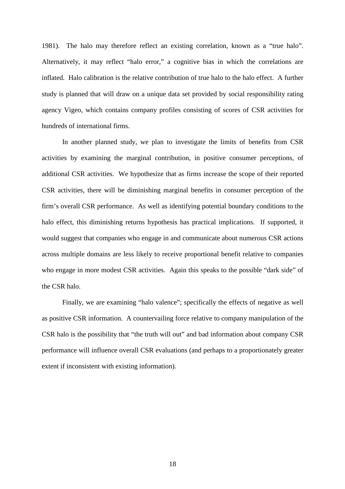1981). The halo may therefore reflect an existing correlation, known as a "true halo". Alternatively, it may reflect "halo error," a cognitive bias in which the correlations are inflated. Halo calibration is the relative contribution of true halo to the halo effect. A further study is planned that will draw on a unique data set provided by social responsibility rating agency Vigeo, which contains company profiles consisting of scores of CSR activities for hundreds of international firms.

In another planned study, we plan to investigate the limits of benefits from CSR activities by examining the marginal contribution, in positive consumer perceptions, of additional CSR activities. We hypothesize that as firms increase the scope of their reported CSR activities, there will be diminishing marginal benefits in consumer perception of the firm's overall CSR performance. As well as identifying potential boundary conditions to the halo effect, this diminishing returns hypothesis has practical implications. If supported, it would suggest that companies who engage in and communicate about numerous CSR actions across multiple domains are less likely to receive proportional benefit relative to companies who engage in more modest CSR activities. Again this speaks to the possible "dark side" of the CSR halo.

Finally, we are examining "halo valence"; specifically the effects of negative as well as positive CSR information. A countervailing force relative to company manipulation of the CSR halo is the possibility that "the truth will out" and bad information about company CSR performance will influence overall CSR evaluations (and perhaps to a proportionately greater extent if inconsistent with existing information).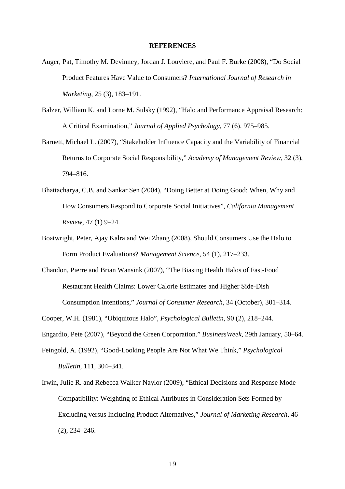### **REFERENCES**

- Auger, Pat, Timothy M. Devinney, Jordan J. Louviere, and Paul F. Burke (2008), "Do Social Product Features Have Value to Consumers? *International Journal of Research in Marketing*, 25 (3), 183–191.
- Balzer, William K. and Lorne M. Sulsky (1992), "Halo and Performance Appraisal Research: A Critical Examination," *Journal of Applied Psychology*, 77 (6), 975–985.
- Barnett, Michael L. (2007), "Stakeholder Influence Capacity and the Variability of Financial Returns to Corporate Social Responsibility," *Academy of Management Review*, 32 (3), 794–816.
- Bhattacharya, C.B. and Sankar Sen (2004), "Doing Better at Doing Good: When, Why and How Consumers Respond to Corporate Social Initiatives", *California Management Review*, 47 (1) 9–24.
- Boatwright, Peter, Ajay Kalra and Wei Zhang (2008), Should Consumers Use the Halo to Form Product Evaluations? *Management Science*, 54 (1), 217–233.
- Chandon, Pierre and Brian Wansink (2007), "The Biasing Health Halos of Fast-Food Restaurant Health Claims: Lower Calorie Estimates and Higher Side-Dish Consumption Intentions," *Journal of Consumer Research*, 34 (October), 301–314.

Cooper, W.H. (1981), "Ubiquitous Halo", *Psychological Bulletin*, 90 (2), 218–244.

Engardio, Pete (2007), "Beyond the Green Corporation." *BusinessWeek*, 29th January, 50–64.

- Feingold, A. (1992), "Good-Looking People Are Not What We Think," *Psychological Bulletin*, 111, 304–341.
- Irwin, Julie R. and Rebecca Walker Naylor (2009), "Ethical Decisions and Response Mode Compatibility: Weighting of Ethical Attributes in Consideration Sets Formed by Excluding versus Including Product Alternatives," *Journal of Marketing Research*, 46 (2), 234–246.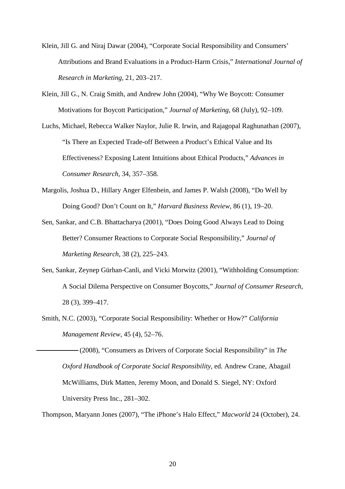- Klein, Jill G. and Niraj Dawar (2004), "Corporate Social Responsibility and Consumers' Attributions and Brand Evaluations in a Product-Harm Crisis," *International Journal of Research in Marketing*, 21, 203–217.
- Klein, Jill G., N. Craig Smith, and Andrew John (2004), "Why We Boycott: Consumer Motivations for Boycott Participation," *Journal of Marketing*, 68 (July), 92–109.
- Luchs, Michael, Rebecca Walker Naylor, Julie R. Irwin, and Rajagopal Raghunathan (2007), "Is There an Expected Trade-off Between a Product's Ethical Value and Its Effectiveness? Exposing Latent Intuitions about Ethical Products," *Advances in Consumer Research*, 34, 357–358.
- Margolis, Joshua D., Hillary Anger Elfenbein, and James P. Walsh (2008), "Do Well by Doing Good? Don't Count on It," *Harvard Business Review*, 86 (1), 19–20.
- Sen, Sankar, and C.B. Bhattacharya (2001), "Does Doing Good Always Lead to Doing Better? Consumer Reactions to Corporate Social Responsibility," *Journal of Marketing Research*, 38 (2), 225–243.
- Sen, Sankar, Zeynep Gürhan-Canli, and Vicki Morwitz (2001), "Withholding Consumption: A Social Dilema Perspective on Consumer Boycotts," *Journal of Consumer Research*, 28 (3), 399–417.
- Smith, N.C. (2003), "Corporate Social Responsibility: Whether or How?" *California Management Review*, 45 (4), 52–76.

 (2008), "Consumers as Drivers of Corporate Social Responsibility" in *The Oxford Handbook of Corporate Social Responsibility*, ed. Andrew Crane, Abagail McWilliams, Dirk Matten, Jeremy Moon, and Donald S. Siegel, NY: Oxford University Press Inc., 281–302.

Thompson, Maryann Jones (2007), "The iPhone's Halo Effect," *Macworld* 24 (October), 24.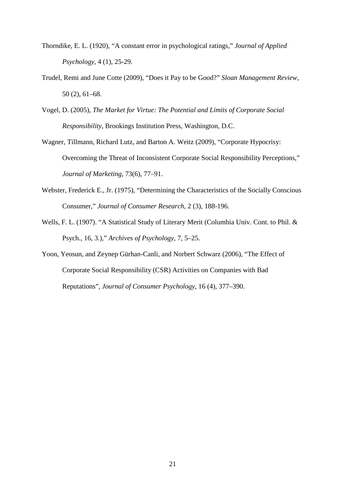- Thorndike, E. L. (1920), "A constant error in psychological ratings," *Journal of Applied Psychology,* 4 (1), 25-29.
- Trudel, Remi and June Cotte (2009), "Does it Pay to be Good?" *Sloan Management Review*, 50 (2), 61–68.
- Vogel, D. (2005), *The Market for Virtue: The Potential and Limits of Corporate Social Responsibility*, Brookings Institution Press, Washington, D.C.
- Wagner, Tillmann, Richard Lutz, and Barton A. Weitz (2009), "Corporate Hypocrisy: Overcoming the Threat of Inconsistent Corporate Social Responsibility Perceptions," *Journal of Marketing*, 73(6), 77–91.
- Webster, Frederick E., Jr. (1975), "Determining the Characteristics of the Socially Conscious Consumer," *Journal of Consumer Research,* 2 (3), 188-196.
- Wells, F. L. (1907). "A Statistical Study of Literary Merit (Columbia Univ. Cont. to Phil. & Psych., 16, 3.)," *Archives of Psychology,* 7, 5–25.
- Yoon, Yeosun, and Zeynep Gürhan-Canli, and Norbert Schwarz (2006), "The Effect of Corporate Social Responsibility (CSR) Activities on Companies with Bad Reputations", *Journal of Consumer Psychology*, 16 (4), 377–390.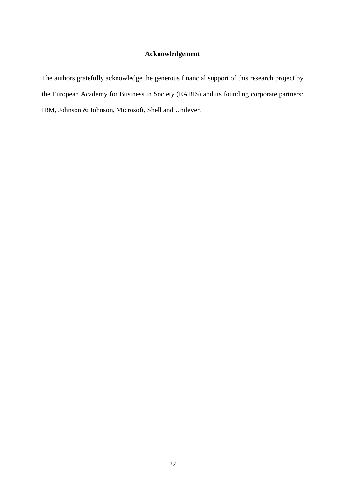# **Acknowledgement**

The authors gratefully acknowledge the generous financial support of this research project by the European Academy for Business in Society (EABIS) and its founding corporate partners: IBM, Johnson & Johnson, Microsoft, Shell and Unilever.